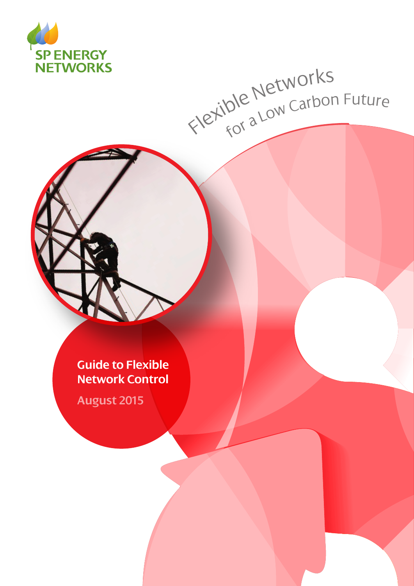

# Flexible Networks<br>Flexible Networks

**Guide to Flexible Network Control**

**August 2015**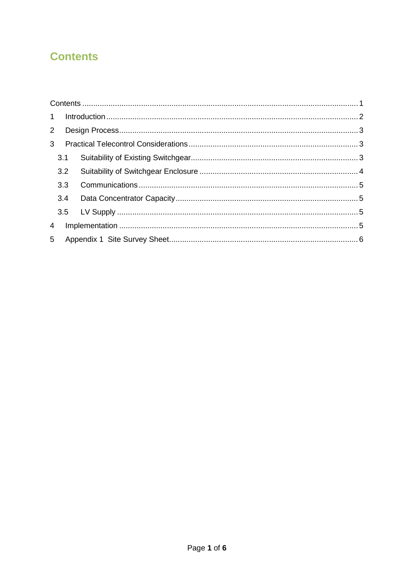# <span id="page-1-0"></span>**Contents**

| $2^{\circ}$    |     |  |  |  |  |  |  |
|----------------|-----|--|--|--|--|--|--|
| 3 <sup>1</sup> |     |  |  |  |  |  |  |
|                |     |  |  |  |  |  |  |
|                | 3.2 |  |  |  |  |  |  |
|                | 3.3 |  |  |  |  |  |  |
|                | 3.4 |  |  |  |  |  |  |
|                |     |  |  |  |  |  |  |
| $\overline{4}$ |     |  |  |  |  |  |  |
|                |     |  |  |  |  |  |  |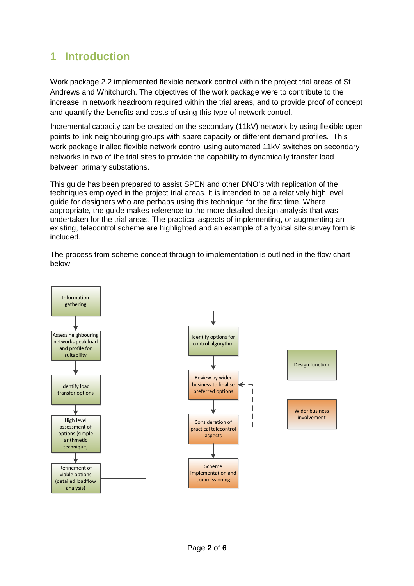## <span id="page-2-0"></span>**1 Introduction**

Work package 2.2 implemented flexible network control within the project trial areas of St Andrews and Whitchurch. The objectives of the work package were to contribute to the increase in network headroom required within the trial areas, and to provide proof of concept and quantify the benefits and costs of using this type of network control.

Incremental capacity can be created on the secondary (11kV) network by using flexible open points to link neighbouring groups with spare capacity or different demand profiles. This work package trialled flexible network control using automated 11kV switches on secondary networks in two of the trial sites to provide the capability to dynamically transfer load between primary substations.

This guide has been prepared to assist SPEN and other DNO's with replication of the techniques employed in the project trial areas. It is intended to be a relatively high level guide for designers who are perhaps using this technique for the first time. Where appropriate, the guide makes reference to the more detailed design analysis that was undertaken for the trial areas. The practical aspects of implementing, or augmenting an existing, telecontrol scheme are highlighted and an example of a typical site survey form is included.

The process from scheme concept through to implementation is outlined in the flow chart below.

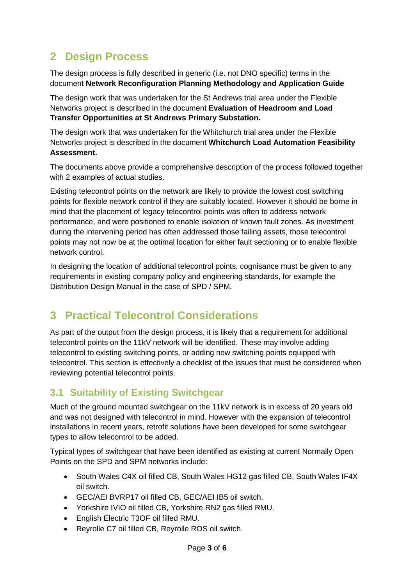# <span id="page-3-0"></span>**2 Design Process**

The design process is fully described in generic (i.e. not DNO specific) terms in the document **Network Reconfiguration Planning Methodology and Application Guide**

The design work that was undertaken for the St Andrews trial area under the Flexible Networks project is described in the document **Evaluation of Headroom and Load Transfer Opportunities at St Andrews Primary Substation.**

The design work that was undertaken for the Whitchurch trial area under the Flexible Networks project is described in the document **Whitchurch Load Automation Feasibility Assessment.**

The documents above provide a comprehensive description of the process followed together with 2 examples of actual studies.

Existing telecontrol points on the network are likely to provide the lowest cost switching points for flexible network control if they are suitably located. However it should be borne in mind that the placement of legacy telecontrol points was often to address network performance, and were positioned to enable isolation of known fault zones. As investment during the intervening period has often addressed those failing assets, those telecontrol points may not now be at the optimal location for either fault sectioning or to enable flexible network control.

In designing the location of additional telecontrol points, cognisance must be given to any requirements in existing company policy and engineering standards, for example the Distribution Design Manual in the case of SPD / SPM.

# <span id="page-3-1"></span>**3 Practical Telecontrol Considerations**

As part of the output from the design process, it is likely that a requirement for additional telecontrol points on the 11kV network will be identified. These may involve adding telecontrol to existing switching points, or adding new switching points equipped with telecontrol. This section is effectively a checklist of the issues that must be considered when reviewing potential telecontrol points.

### <span id="page-3-2"></span>**3.1 Suitability of Existing Switchgear**

Much of the ground mounted switchgear on the 11kV network is in excess of 20 years old and was not designed with telecontrol in mind. However with the expansion of telecontrol installations in recent years, retrofit solutions have been developed for some switchgear types to allow telecontrol to be added.

Typical types of switchgear that have been identified as existing at current Normally Open Points on the SPD and SPM networks include:

- South Wales C4X oil filled CB, South Wales HG12 gas filled CB, South Wales IF4X oil switch.
- GEC/AEI BVRP17 oil filled CB, GEC/AEI IB5 oil switch.
- Yorkshire IVIO oil filled CB, Yorkshire RN2 gas filled RMU.
- English Electric T3OF oil filled RMU.
- Reyrolle C7 oil filled CB, Reyrolle ROS oil switch.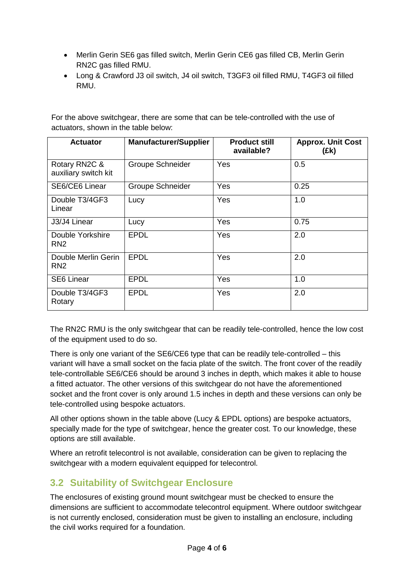- Merlin Gerin SE6 gas filled switch, Merlin Gerin CE6 gas filled CB, Merlin Gerin RN2C gas filled RMU.
- Long & Crawford J3 oil switch, J4 oil switch, T3GF3 oil filled RMU, T4GF3 oil filled RMU.

For the above switchgear, there are some that can be tele-controlled with the use of actuators, shown in the table below:

| <b>Actuator</b>                        | <b>Manufacturer/Supplier</b> | <b>Product still</b><br>available? | <b>Approx. Unit Cost</b><br>(Ek) |  |
|----------------------------------------|------------------------------|------------------------------------|----------------------------------|--|
| Rotary RN2C &<br>auxiliary switch kit  | <b>Groupe Schneider</b>      | <b>Yes</b>                         | 0.5                              |  |
| SE6/CE6 Linear                         | <b>Groupe Schneider</b>      | Yes                                | 0.25                             |  |
| Double T3/4GF3<br>Linear               | Lucy                         | Yes                                | 1.0                              |  |
| J3/J4 Linear                           | Lucy                         | Yes                                | 0.75                             |  |
| Double Yorkshire<br>RN <sub>2</sub>    | <b>EPDL</b>                  | Yes                                | 2.0                              |  |
| Double Merlin Gerin<br>RN <sub>2</sub> | <b>EPDL</b>                  | Yes                                | 2.0                              |  |
| <b>SE6 Linear</b>                      | <b>EPDL</b>                  | Yes                                | 1.0                              |  |
| Double T3/4GF3<br>Rotary               | <b>EPDL</b>                  | Yes                                | 2.0                              |  |

The RN2C RMU is the only switchgear that can be readily tele-controlled, hence the low cost of the equipment used to do so.

There is only one variant of the SE6/CE6 type that can be readily tele-controlled – this variant will have a small socket on the facia plate of the switch. The front cover of the readily tele-controllable SE6/CE6 should be around 3 inches in depth, which makes it able to house a fitted actuator. The other versions of this switchgear do not have the aforementioned socket and the front cover is only around 1.5 inches in depth and these versions can only be tele-controlled using bespoke actuators.

All other options shown in the table above (Lucy & EPDL options) are bespoke actuators, specially made for the type of switchgear, hence the greater cost. To our knowledge, these options are still available.

Where an retrofit telecontrol is not available, consideration can be given to replacing the switchgear with a modern equivalent equipped for telecontrol.

### <span id="page-4-0"></span>**3.2 Suitability of Switchgear Enclosure**

The enclosures of existing ground mount switchgear must be checked to ensure the dimensions are sufficient to accommodate telecontrol equipment. Where outdoor switchgear is not currently enclosed, consideration must be given to installing an enclosure, including the civil works required for a foundation.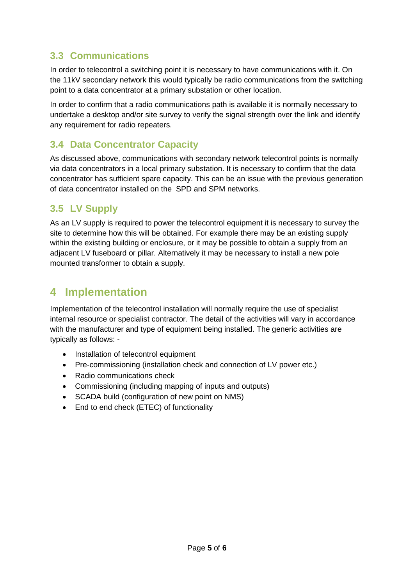### <span id="page-5-0"></span>**3.3 Communications**

In order to telecontrol a switching point it is necessary to have communications with it. On the 11kV secondary network this would typically be radio communications from the switching point to a data concentrator at a primary substation or other location.

In order to confirm that a radio communications path is available it is normally necessary to undertake a desktop and/or site survey to verify the signal strength over the link and identify any requirement for radio repeaters.

### <span id="page-5-1"></span>**3.4 Data Concentrator Capacity**

As discussed above, communications with secondary network telecontrol points is normally via data concentrators in a local primary substation. It is necessary to confirm that the data concentrator has sufficient spare capacity. This can be an issue with the previous generation of data concentrator installed on the SPD and SPM networks.

### <span id="page-5-2"></span>**3.5 LV Supply**

As an LV supply is required to power the telecontrol equipment it is necessary to survey the site to determine how this will be obtained. For example there may be an existing supply within the existing building or enclosure, or it may be possible to obtain a supply from an adjacent LV fuseboard or pillar. Alternatively it may be necessary to install a new pole mounted transformer to obtain a supply.

# <span id="page-5-3"></span>**4 Implementation**

Implementation of the telecontrol installation will normally require the use of specialist internal resource or specialist contractor. The detail of the activities will vary in accordance with the manufacturer and type of equipment being installed. The generic activities are typically as follows: -

- Installation of telecontrol equipment
- Pre-commissioning (installation check and connection of LV power etc.)
- Radio communications check
- Commissioning (including mapping of inputs and outputs)
- SCADA build (configuration of new point on NMS)
- End to end check (ETEC) of functionality